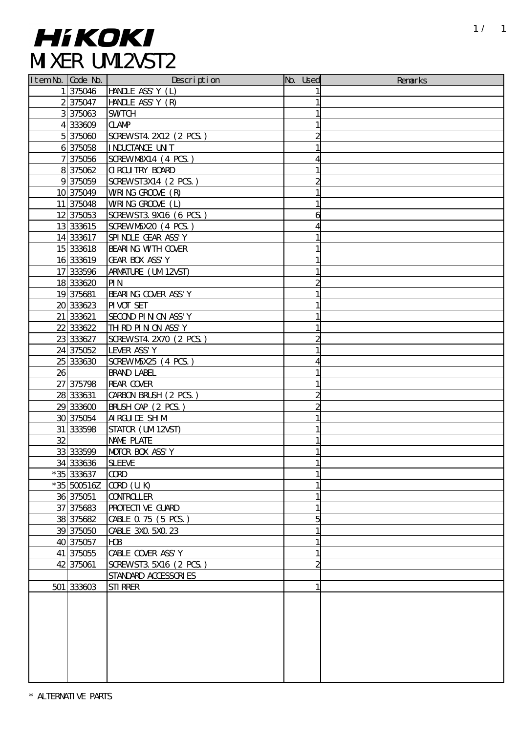## **Item No. 2018.**<br>Item No. 2018 No. 2019 No. 2019 No. 2019 No. 2019 No. 2019 No. 2019 No. 2019 No. 2019 No. 2019 No. 2019 No. 20<br>2019 No. 2019 No. 2019 No. 2019 No. 2019 No. 2019 No. 2019 No. 2019 No. 2019 No. 2019 No. 2019

|    | Item No. Code No. | Description              | No. Used | Remarks |
|----|-------------------|--------------------------|----------|---------|
|    | 1 375046          | <b>HANDLE ASS' Y (L)</b> |          |         |
|    | 2375047           | HANDLE ASS'Y (R)         |          |         |
|    | 3 375063          | <b>SWTCH</b>             |          |         |
|    | 4 333609          | <b>CLANP</b>             |          |         |
|    | 5375060           | SCREWST4. 2X12 (2 PCS.)  |          |         |
|    | 6375058           | I NDUCTANCE UN T         |          |         |
|    | 7 375056          | SCREWN8X14 (4 PCS.)      | 4        |         |
|    | 8 375062          | <b>C ROU TRY BOARD</b>   |          |         |
|    | 9375059           | SCREWST3X14 (2 PCS.)     | 2        |         |
|    | 10 375049         | WRING GROOVE (R)         |          |         |
|    | 11 375048         | WRING GROOVE (L)         |          |         |
|    | 12 375053         | SCREWST3. 9X16 (6 PCS.)  | 6        |         |
|    | 13 333615         | SCREWN5X20 (4 PCS.)      | 4        |         |
|    | 14 333617         | SPINDLE GEAR ASS'Y       |          |         |
|    | 15 333618         | BEARING WITH COVER       |          |         |
|    | 16 333619         | GEAR BOX ASS'Y           |          |         |
|    | 17 333596         | ARMATURE (UM12VST)       |          |         |
|    | 18 333620         | PI N                     |          |         |
|    | 19 375681         | BEARING COVER ASS'Y      |          |         |
|    | 20 333623         | PI VOT SET               |          |         |
|    |                   |                          |          |         |
|    | 21 333621         | SECOND PIN ON ASS'Y      |          |         |
|    | 22 333622         | TH RD PIN ON ASS'Y       |          |         |
|    | 23 333627         | SCREWST4. 2X70 (2 PCS.)  |          |         |
|    | 24 375052         | LEVER ASS' Y             |          |         |
|    | 25 333630         | SCREWN5X25 (4 PCS.)      |          |         |
| 26 |                   | <b>BRAND LABEL</b>       |          |         |
|    | 27 375798         | <b>REAR COVER</b>        |          |         |
|    | 28 333631         | CARBON BRUSH (2 PCS.)    | 2        |         |
|    | 29 333600         | BRUSH CAP (2 PCS.)       |          |         |
|    | 30 375054         | AI RGUI DE SH M          |          |         |
|    | 31 333598         | STATOR (UM12VST)         |          |         |
| 32 |                   | NAME PLATE               |          |         |
|    | 33 333599         | MOTOR BOX ASS'Y          |          |         |
|    | 34 333636         | <b>SLEEVE</b>            |          |         |
|    | *35 333637        | <b>CCRD</b>              |          |         |
|    | $*35$ 500516Z     | $QCD$ (U.K)              |          |         |
|    | 36 375051         | <b>CONTROLLER</b>        |          |         |
|    | 37 375683         | <b>PROTECTIVE GUARD</b>  |          |         |
|    | 38 375682         | CABLE 0.75 (5 PCS.)      | 5        |         |
|    | 39 375050         | CABLE 3XO 5XO 23         |          |         |
|    | 40 3750 57        | <b>HOB</b>               |          |         |
|    | 41 375055         | CABLE COVER ASS' Y       |          |         |
|    | 42 375061         | SCREWST3. 5X16 (2 PCS.)  |          |         |
|    |                   | STANDARD ACCESSORIES     |          |         |
|    | $501$ 333603      | STI RRER                 | 1        |         |
|    |                   |                          |          |         |
|    |                   |                          |          |         |
|    |                   |                          |          |         |
|    |                   |                          |          |         |
|    |                   |                          |          |         |